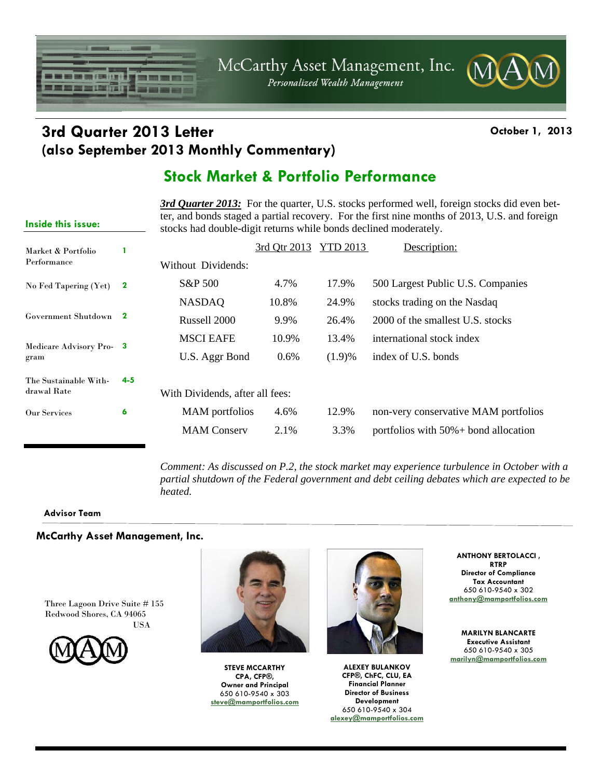McCarthy Asset Management, Inc.

Personalized Wealth Management

### **3rd Quarter 2013 Letter Constanting Community Constanting October 1, 2013 (also September 2013 Monthly Commentary)**

■■■

Ŧ

### **Stock Market & Portfolio Performance**

**3rd Quarter 2013:** For the quarter, U.S. stocks performed well, foreign stocks did even better, and bonds staged a partial recovery. For the first nine months of 2013, U.S. and foreign stocks had double-digit returns while bonds declined moderately.

| Market & Portfolio<br>Performance |                                 |                    | 3rd Qtr 2013 | YTD 2013 | Description:                             |
|-----------------------------------|---------------------------------|--------------------|--------------|----------|------------------------------------------|
|                                   |                                 | Without Dividends: |              |          |                                          |
| No Fed Tapering (Yet)             | $\mathbf 2$                     | S&P 500            | 4.7%         | 17.9%    | 500 Largest Public U.S. Companies        |
|                                   |                                 | <b>NASDAQ</b>      | 10.8%        | 24.9%    | stocks trading on the Nasdaq             |
| Government Shutdown 2             |                                 | Russell 2000       | 9.9%         | 26.4%    | 2000 of the smallest U.S. stocks         |
| Medicare Advisory Pro-3<br>gram   |                                 | <b>MSCI EAFE</b>   | 10.9%        | 13.4%    | international stock index                |
|                                   |                                 | U.S. Aggr Bond     | $0.6\%$      | (1.9)%   | index of U.S. bonds                      |
| The Sustainable With-             | $4 - 5$                         |                    |              |          |                                          |
| drawal Rate                       | With Dividends, after all fees: |                    |              |          |                                          |
| Our Services                      | 6                               | MAM portfolios     | 4.6%         | 12.9%    | non-very conservative MAM portfolios     |
|                                   |                                 | <b>MAM</b> Conserv | 2.1%         | 3.3%     | portfolios with $50\% +$ bond allocation |

*Comment: As discussed on P.2, the stock market may experience turbulence in October with a partial shutdown of the Federal government and debt ceiling debates which are expected to be heated.* 

#### **Advisor Team**

**Inside this issue:** 

n – Hanki v H

t men ar ferfin i

#### **McCarthy Asset Management, Inc.**

Three Lagoon Drive Suite # 155 Redwood Shores, CA 94065 USA





**STEVE MCCARTHY CPA, CFP®, Owner and Principal**  650 610-9540 x 303 **steve@mamportfolios.com**



**ALEXEY BULANKOV CFP®, ChFC, CLU, EA Financial Planner Director of Business Development**  650 610-9540 x 304 **alexey@mamportfolios.com**

**ANTHONY BERTOLACCI , RTRP Director of Compliance Tax Accountant**  650 610-9540 x 302 **anthony@mamportfolios.com**

**MARILYN BLANCARTE Executive Assistant**  650 610-9540 x 305 **marilyn@mamportfolios.com**

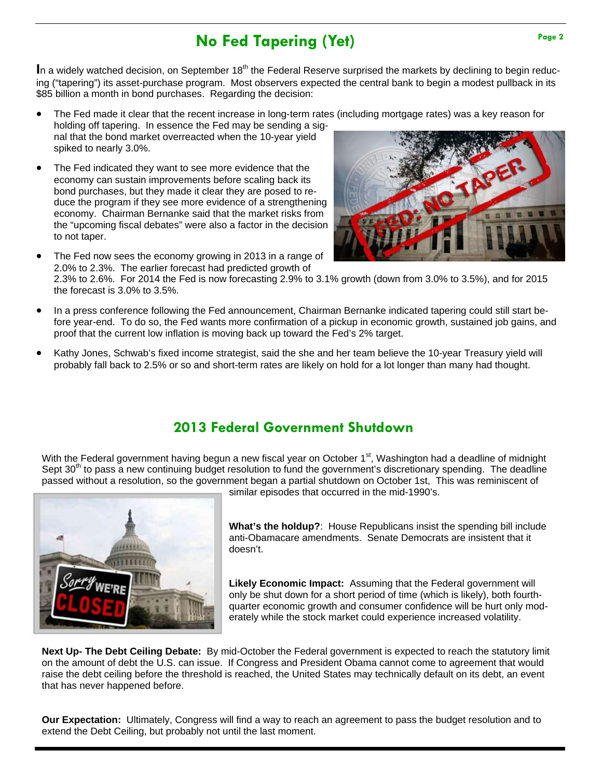## **No Fed Tapering (Yet)** Page 2

In a widely watched decision, on September 18<sup>th</sup> the Federal Reserve surprised the markets by declining to begin reducing ("tapering") its asset-purchase program. Most observers expected the central bank to begin a modest pullback in its \$85 billion a month in bond purchases. Regarding the decision:

 The Fed made it clear that the recent increase in long-term rates (including mortgage rates) was a key reason for holding off tapering. In essence the Fed may be sending a sig-

nal that the bond market overreacted when the 10-year yield spiked to nearly 3.0%.

- The Fed indicated they want to see more evidence that the economy can sustain improvements before scaling back its bond purchases, but they made it clear they are posed to reduce the program if they see more evidence of a strengthening economy. Chairman Bernanke said that the market risks from the "upcoming fiscal debates" were also a factor in the decision to not taper.
- The Fed now sees the economy growing in 2013 in a range of 2.0% to 2.3%. The earlier forecast had predicted growth of 2.3% to 2.6%. For 2014 the Fed is now forecasting 2.9% to 3.1% growth (down from 3.0% to 3.5%), and for 2015 the forecast is 3.0% to 3.5%.
- In a press conference following the Fed announcement, Chairman Bernanke indicated tapering could still start before year-end. To do so, the Fed wants more confirmation of a pickup in economic growth, sustained job gains, and proof that the current low inflation is moving back up toward the Fed's 2% target.
- Kathy Jones, Schwab's fixed income strategist, said the she and her team believe the 10-year Treasury yield will probably fall back to 2.5% or so and short-term rates are likely on hold for a lot longer than many had thought.

### **2013 Federal Government Shutdown**

With the Federal government having begun a new fiscal year on October 1<sup>st</sup>, Washington had a deadline of midnight Sept 30<sup>th</sup> to pass a new continuing budget resolution to fund the government's discretionary spending. The deadline passed without a resolution, so the government began a partial shutdown on October 1st, This was reminiscent of



similar episodes that occurred in the mid-1990's.

**What's the holdup?**: House Republicans insist the spending bill include anti-Obamacare amendments. Senate Democrats are insistent that it doesn't.

**Likely Economic Impact:** Assuming that the Federal government will only be shut down for a short period of time (which is likely), both fourthquarter economic growth and consumer confidence will be hurt only moderately while the stock market could experience increased volatility.

**Next Up- The Debt Ceiling Debate:** By mid-October the Federal government is expected to reach the statutory limit on the amount of debt the U.S. can issue. If Congress and President Obama cannot come to agreement that would raise the debt ceiling before the threshold is reached, the United States may technically default on its debt, an event that has never happened before.

**Our Expectation:** Ultimately, Congress will find a way to reach an agreement to pass the budget resolution and to extend the Debt Ceiling, but probably not until the last moment.

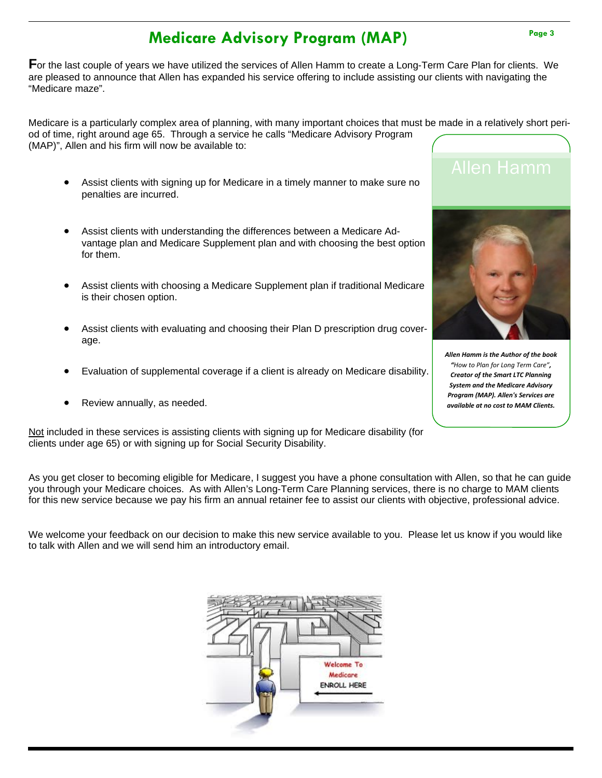# **Medicare Advisory Program (MAP)**

**F**or the last couple of years we have utilized the services of Allen Hamm to create a Long-Term Care Plan for clients. We are pleased to announce that Allen has expanded his service offering to include assisting our clients with navigating the "Medicare maze".

Medicare is a particularly complex area of planning, with many important choices that must be made in a relatively short period of time, right around age 65. Through a service he calls "Medicare Advisory Program (MAP)", Allen and his firm will now be available to:

- Assist clients with signing up for Medicare in a timely manner to make sure no penalties are incurred.
- Assist clients with understanding the differences between a Medicare Advantage plan and Medicare Supplement plan and with choosing the best option for them.
- Assist clients with choosing a Medicare Supplement plan if traditional Medicare is their chosen option.
- Assist clients with evaluating and choosing their Plan D prescription drug coverage.
- Evaluation of supplemental coverage if a client is already on Medicare disability.
- Review annually, as needed.

Not included in these services is assisting clients with signing up for Medicare disability (for clients under age 65) or with signing up for Social Security Disability.

As you get closer to becoming eligible for Medicare, I suggest you have a phone consultation with Allen, so that he can guide you through your Medicare choices. As with Allen's Long-Term Care Planning services, there is no charge to MAM clients for this new service because we pay his firm an annual retainer fee to assist our clients with objective, professional advice.

We welcome your feedback on our decision to make this new service available to you. Please let us know if you would like to talk with Allen and we will send him an introductory email.





*Allen Hamm is the Author of the book "How to Plan for Long Term Care", Creator of the Smart LTC Planning System and the Medicare Advisory Program (MAP). Allen's Services are available at no cost to MAM Clients.*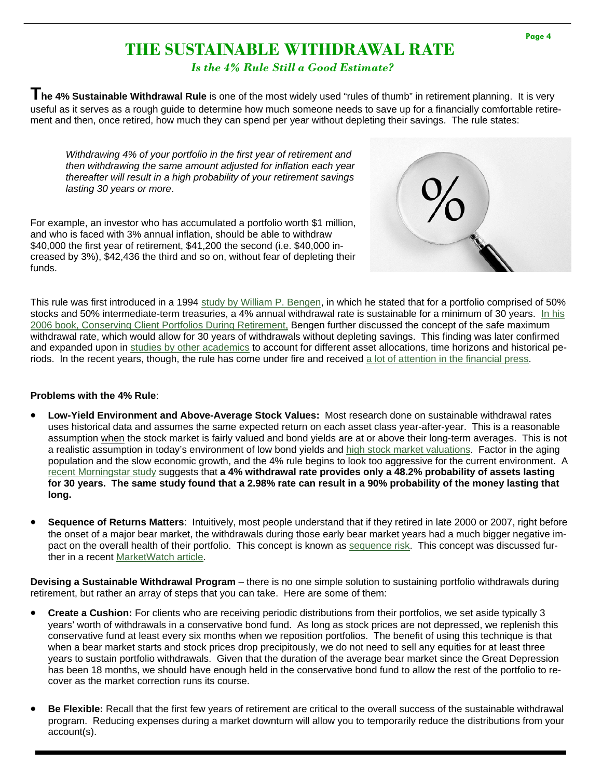### **THE SUSTAINABLE WITHDRAWAL RATE**

*Is the 4% Rule Still a Good Estimate?* 

**The 4% Sustainable Withdrawal Rule** is one of the most widely used "rules of thumb" in retirement planning. It is very useful as it serves as a rough guide to determine how much someone needs to save up for a financially comfortable retirement and then, once retired, how much they can spend per year without depleting their savings. The rule states:

*Withdrawing 4% of your portfolio in the first year of retirement and then withdrawing the same amount adjusted for inflation each year thereafter will result in a high probability of your retirement savings lasting 30 years or more*.

For example, an investor who has accumulated a portfolio worth \$1 million, and who is faced with 3% annual inflation, should be able to withdraw \$40,000 the first year of retirement, \$41,200 the second (i.e. \$40,000 increased by 3%), \$42,436 the third and so on, without fear of depleting their funds.



This rule was first introduced in a 1994 [study by William P. Bengen,](http://www.retailinvestor.org/pdf/Bengen1.pdf) in which he stated that for a portfolio comprised of 50% [stocks and 50% intermediate-term treasuries, a 4% annual withdrawal rate is sustainable for a minimum of 30 years. In his](http://www.amazon.com/Conserving-Client-Portfolios-During-Retirement/dp/0975344838)  2006 book, Conserving Client Portfolios During Retirement, Bengen further discussed the concept of the safe maximum withdrawal rate, which would allow for 30 years of withdrawals without depleting savings. This finding was later confirmed and expanded upon in [studies by other academics](http://www.fpanet.org/docs/assets/FDBA3F04-1D09-67A1-AC7E617287736AB3/Cooley-Appendix-1.jpg) to account for different asset allocations, time horizons and historical periods. In the recent years, though, the rule has come under fire and received [a lot of attention in the financial press.](http://online.wsj.com/article/SB10001424127887324162304578304491492559684.html)

#### **Problems with the 4% Rule**:

- **Low-Yield Environment and Above-Average Stock Values:** Most research done on sustainable withdrawal rates uses historical data and assumes the same expected return on each asset class year-after-year. This is a reasonable assumption when the stock market is fairly valued and bond yields are at or above their long-term averages. This is not a realistic assumption in today's environment of low bond yields and [high stock market valuations.](http://www.multpl.com/shiller-pe/) Factor in the aging population and the slow economic growth, and the 4% rule begins to look too aggressive for the current environment. A [recent Morningstar study](http://corporate.morningstar.com/us/documents/targetmaturity/LowBondYieldsWithdrawalRates.pdf) suggests that **a 4% withdrawal rate provides only a 48.2% probability of assets lasting for 30 years. The same study found that a 2.98% rate can result in a 90% probability of the money lasting that long.**
- **Sequence of Returns Matters**: Intuitively, most people understand that if they retired in late 2000 or 2007, right before the onset of a major bear market, the withdrawals during those early bear market years had a much bigger negative impact on the overall health of their portfolio. This concept is known a[s sequence risk.](http://www.investopedia.com/terms/s/sequence-risk.asp) This concept was discussed further in a recent [MarketWatch article.](http://www.marketwatch.com/story/retirement-the-sequence-of-returns-2013-02-08/print?guid=52048599-68F9-4484-A057-EDAA79B3AB59)

**Devising a Sustainable Withdrawal Program** – there is no one simple solution to sustaining portfolio withdrawals during retirement, but rather an array of steps that you can take. Here are some of them:

- **Create a Cushion:** For clients who are receiving periodic distributions from their portfolios, we set aside typically 3 years' worth of withdrawals in a conservative bond fund. As long as stock prices are not depressed, we replenish this conservative fund at least every six months when we reposition portfolios. The benefit of using this technique is that when a bear market starts and stock prices drop precipitously, we do not need to sell any equities for at least three years to sustain portfolio withdrawals. Given that the duration of the average bear market since the Great Depression has been 18 months, we should have enough held in the conservative bond fund to allow the rest of the portfolio to recover as the market correction runs its course.
- **Be Flexible:** Recall that the first few years of retirement are critical to the overall success of the sustainable withdrawal program. Reducing expenses during a market downturn will allow you to temporarily reduce the distributions from your account(s).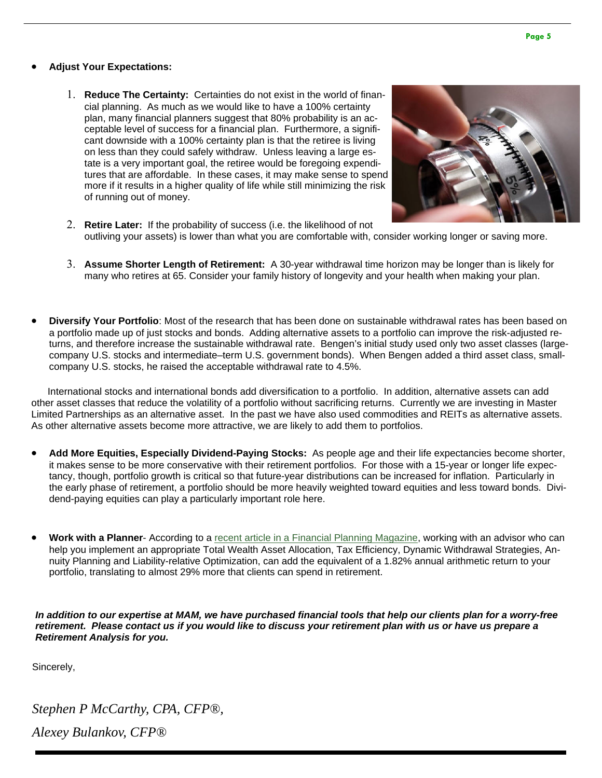#### **Adjust Your Expectations:**

 **Reduce The Certainty:** Certainties do not exist in the world of financial planning. As much as we would like to have a 100% certainty plan, many financial planners suggest that 80% probability is an acceptable level of success for a financial plan. Furthermore, a significant downside with a 100% certainty plan is that the retiree is living on less than they could safely withdraw. Unless leaving a large estate is a very important goal, the retiree would be foregoing expenditures that are affordable. In these cases, it may make sense to spend more if it results in a higher quality of life while still minimizing the risk of running out of money.



- **Retire Later:** If the probability of success (i.e. the likelihood of not outliving your assets) is lower than what you are comfortable with, consider working longer or saving more.
- **Assume Shorter Length of Retirement:** A 30-year withdrawal time horizon may be longer than is likely for many who retires at 65. Consider your family history of longevity and your health when making your plan.
- **Diversify Your Portfolio**: Most of the research that has been done on sustainable withdrawal rates has been based on a portfolio made up of just stocks and bonds. Adding alternative assets to a portfolio can improve the risk-adjusted returns, and therefore increase the sustainable withdrawal rate. Bengen's initial study used only two asset classes (largecompany U.S. stocks and intermediate–term U.S. government bonds). When Bengen added a third asset class, smallcompany U.S. stocks, he raised the acceptable withdrawal rate to 4.5%.

 International stocks and international bonds add diversification to a portfolio. In addition, alternative assets can add other asset classes that reduce the volatility of a portfolio without sacrificing returns. Currently we are investing in Master Limited Partnerships as an alternative asset. In the past we have also used commodities and REITs as alternative assets. As other alternative assets become more attractive, we are likely to add them to portfolios.

- **Add More Equities, Especially Dividend-Paying Stocks:** As people age and their life expectancies become shorter, it makes sense to be more conservative with their retirement portfolios. For those with a 15-year or longer life expectancy, though, portfolio growth is critical so that future-year distributions can be increased for inflation. Particularly in the early phase of retirement, a portfolio should be more heavily weighted toward equities and less toward bonds. Dividend-paying equities can play a particularly important role here.
- **Work with a Planner** According to a [recent article in a Financial Planning Magazine](http://www.financial-planning.com/fp_issues/43_9/morningstars-gamma-how-financial-advisors-add-value-2686311-1.html), working with an advisor who can help you implement an appropriate Total Wealth Asset Allocation, Tax Efficiency, Dynamic Withdrawal Strategies, Annuity Planning and Liability-relative Optimization, can add the equivalent of a 1.82% annual arithmetic return to your portfolio, translating to almost 29% more that clients can spend in retirement.

*In addition to our expertise at MAM, we have purchased financial tools that help our clients plan for a worry-free retirement. Please contact us if you would like to discuss your retirement plan with us or have us prepare a Retirement Analysis for you.* 

Sincerely,

*Stephen P McCarthy, CPA, CFP®, Alexey Bulankov, CFP®*